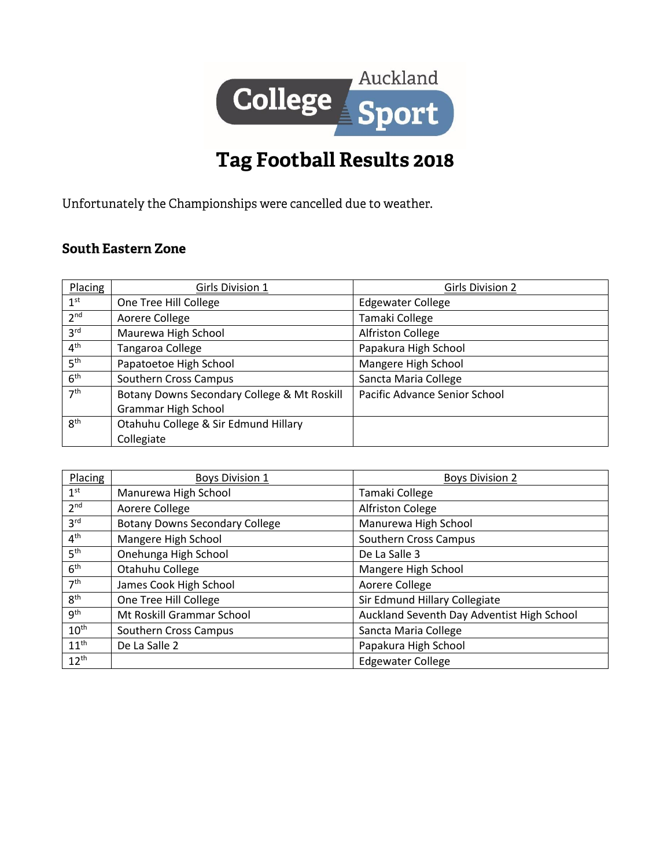

## Tag Football Results 2018

Unfortunately the Championships were cancelled due to weather.

## **South Eastern Zone**

| Placing         | Girls Division 1                            | <b>Girls Division 2</b>       |
|-----------------|---------------------------------------------|-------------------------------|
| 1 <sup>st</sup> | One Tree Hill College                       | <b>Edgewater College</b>      |
| 2 <sup>nd</sup> | Aorere College                              | Tamaki College                |
| 3 <sup>rd</sup> | Maurewa High School                         | Alfriston College             |
| 4 <sup>th</sup> | Tangaroa College                            | Papakura High School          |
| 5 <sup>th</sup> | Papatoetoe High School                      | Mangere High School           |
| 6 <sup>th</sup> | Southern Cross Campus                       | Sancta Maria College          |
| 7 <sup>th</sup> | Botany Downs Secondary College & Mt Roskill | Pacific Advance Senior School |
|                 | <b>Grammar High School</b>                  |                               |
| 8 <sup>th</sup> | Otahuhu College & Sir Edmund Hillary        |                               |
|                 | Collegiate                                  |                               |

| Placing          | <b>Boys Division 1</b>                | <b>Boys Division 2</b>                     |
|------------------|---------------------------------------|--------------------------------------------|
| 1 <sup>st</sup>  | Manurewa High School                  | Tamaki College                             |
| 2 <sup>nd</sup>  | Aorere College                        | <b>Alfriston Colege</b>                    |
| 3 <sup>rd</sup>  | <b>Botany Downs Secondary College</b> | Manurewa High School                       |
| 4 <sup>th</sup>  | Mangere High School                   | Southern Cross Campus                      |
| 5 <sup>th</sup>  | Onehunga High School                  | De La Salle 3                              |
| 6 <sup>th</sup>  | Otahuhu College                       | Mangere High School                        |
| 7 <sup>th</sup>  | James Cook High School                | Aorere College                             |
| 8 <sup>th</sup>  | One Tree Hill College                 | Sir Edmund Hillary Collegiate              |
| gth              | Mt Roskill Grammar School             | Auckland Seventh Day Adventist High School |
| $10^{\text{th}}$ | Southern Cross Campus                 | Sancta Maria College                       |
| $11^{th}$        | De La Salle 2                         | Papakura High School                       |
| $12^{th}$        |                                       | <b>Edgewater College</b>                   |